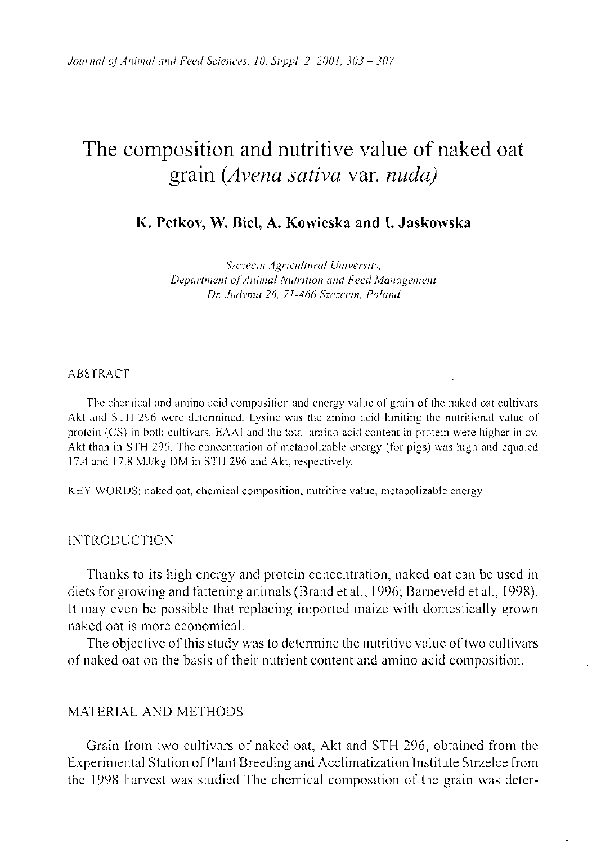# The composition and nutritive value of naked oat grain *(Avena sativa* var. *nuda)*

**K. Petkov, W. Biel, A. Kowieska and I. Jaskowska** 

*Szczecin Agricultural University, Department of Animal Nutrition and Feed Management Dr. Judyma 26, 71-466 Szczecin, Poland* 

#### ABSTRACT

The chemical and amino acid composition and energy value of grain of the naked oat cultivars Akt and STH 296 were determined. Lysine was the amino acid limiting the nutritional value of protein (CS) in both cultivars. EAAI and the total amino acid content in protein were higher in cv. Akt than in STH 296. The concentration of metabolizable energy (for pigs) was high and equaled 17.4 and 17.8 MJ/kg DM in STH 296 and Akt, respectively.

KEY WORDS: naked oat, chemical composition, nutritive value, metabolizable energy

# **INTRODUCTION**

Thanks to its high energy and protein concentration, naked oat can be used in diets for growing and fattening animals (Brand et al., 1996; Barneveld et al., 1998). It may even be possible that replacing imported maize with domestically grown naked oat is more economical.

The objective of this study was to determine the nutritive value of two cultivars of naked oat on the basis of their nutrient content and amino acid composition.

# MATERIAL AND METHODS

Grain from two cultivars of naked oat, Akt and STH 296, obtained from the Experimental Station of Plant Breeding and Acclimatization Institute Strzelce from the 1998 harvest was studied The chemical composition of the grain was deter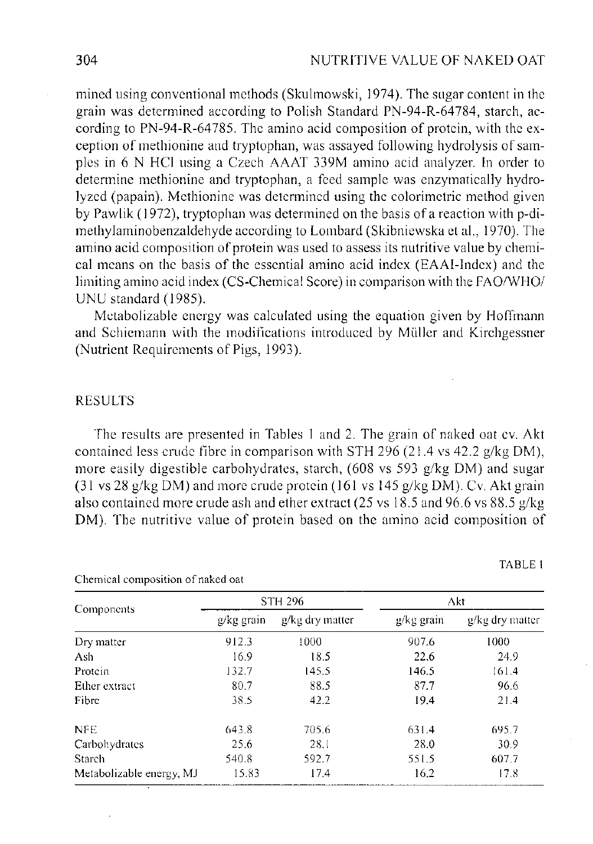mined using conventional methods (Skulmowski, 1974). The sugar content in the grain was determined according to Polish Standard PN-94-R-64784, starch, according to PN-94-R-64785. The amino acid composition of protein, with the exception of methionine and tryptophan, was assayed following hydrolysis of samples in 6 N HCl using a Czech AAAT 339M amino acid analyzer. In order to determine methionine and tryptophan, a feed sample was enzymatically hydrolyzed (papain). Methionine was determined using the colorimetric method given by Pawlik (1972), tryptophan was determined on the basis of a reaction with p-dimethylaminobenzaldehyde according to Lombard (Skibniewska et al., 1970). The amino acid composition of protein was used to assess its nutritive value by chemical means on the basis of the essential amino acid index (EAAI-Index) and the limiting amino acid index (CS-Chemical Score) in comparison with the FAO/WHO/ UNU standard (1985).

Metabolizable energy was calculated using the equation given by Hoffmann and Schiemann with the modifications introduced by Muller and Kirchgessner (Nutrient Requirements of Pigs, 1993).

#### RESULTS

The results are presented in Tables 1 and 2. The grain of naked oat cv. Akt contained less crude fibre in comparison with STH 296 (21.4 vs 42.2 g/kg DM), more easily digestible carbohydrates, starch, (608 vs 593 g/kg DM) and sugar (31 vs 28 g/kg DM) and more crude protein (161 vs 145 g/kg DM). Cv. Akt grain also contained more crude ash and ether extract (25 vs 18.5 and 96.6 vs 88.5 g/kg DM). The nutritive value of protein based on the amino acid composition of

| Components               | <b>STH 296</b> |                 | Akt       |                 |
|--------------------------|----------------|-----------------|-----------|-----------------|
|                          | g/kg grain     | g/kg dry matter | g/kg gram | g/kg dry matter |
| Dry matter               | 912.3          | 1000            | 907.6     | 1000            |
| Ash                      | 16.9           | 18.5            | 22.6      | 24.9            |
| Protein                  | 132.7          | 145.5           | 146.5     | 161.4           |
| Ether extract            | 80.7           | 88.5            | 87.7      | 96.6            |
| Fibre                    | 38.5           | 42.2            | 19.4      | 21.4            |
| <b>NFE</b>               | 643.8          | 705.6           | 631.4     | 695.7           |
| Carbohydrates            | 25.6           | 28.1            | 28.0      | 30.9            |
| Starch                   | 540.8          | 592.7           | 551.5     | 607.7           |
| Metabolizable energy, MJ | 15.83          | 17.4            | 16.2      | 17.8            |

Chemical composition of naked oat

TABLE 1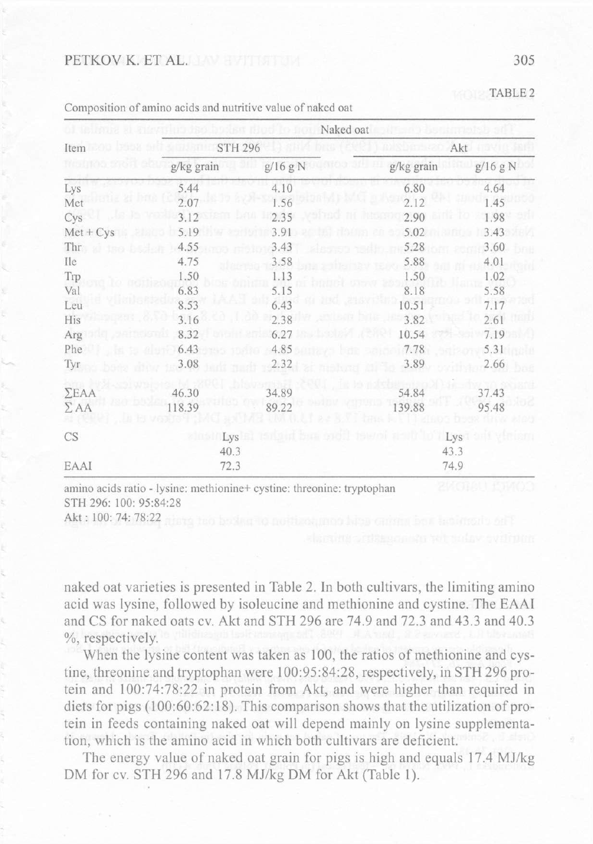## PETKOV K. ET AL.

| Item         |            | Naked oat      |            |          |  |  |
|--------------|------------|----------------|------------|----------|--|--|
|              |            | <b>STH 296</b> |            | Akt      |  |  |
|              | g/kg grain | g/16 g N       | g/kg grain | g/16 g N |  |  |
| Lys          | 5.44       | 4.10           | 6.80       | 4.64     |  |  |
| Met          | 2.07       | 1.56           | 2.12       | 1.45     |  |  |
| Cys          | 3.12       | 2.35           | 2.90       | 1.98     |  |  |
| $Met + Cys$  | 5.19       | 3.91           | 5.02       | 3.43     |  |  |
| Thr          | 4.55       | 3.43           | 5.28       | 3.60     |  |  |
| Ile          | 4.75       | 3.58           | 5.88       | 4.01     |  |  |
| Trp          | 1.50       | 1.13           | 1.50       | 1.02     |  |  |
| Val          | 6.83       | 5.15           | 8.18       | 5.58     |  |  |
| Leu          | 8.53       | 6.43           | 10.51      | 7.17     |  |  |
| His          | 3.16       | 2.38           | 3.82       | 2.61     |  |  |
| Arg          | 8.32       | 6.27           | 10.54      | 7.19     |  |  |
| Phe          | 6.43       | 4.85           | 7.78       | 5.31     |  |  |
| Tyr          | 3.08       | 2.32           | 3.89       | 2.66     |  |  |
| $\Sigma EAA$ | 46.30      | 34.89          | 54.84      | 37.43    |  |  |
| $\Sigma$ AA  | 118.39     | 89.22          | 139.88     | 95.48    |  |  |
| CS           | Lys        |                |            | Lys      |  |  |
|              | 40.3       |                | 43.3       |          |  |  |
| EAAI         |            | 72.3           |            | 74.9     |  |  |

Composition of amino acids and nutritive value of naked oat

amino acids ratio - lysine: methionine+ cystine: threonine: tryptophan STH 296: 100: 95:84:28

Akt: 100: 74: 78:22

naked oat varieties is presented in Table 2. In both cultivars, the limiting amino acid was lysine, followed by isoleucine and methionine and cystine. The EAA I and CS for naked oats cv. Akt and STH 296 are 74.9 and 72.3 and 43.3 and 40.3 %, respectively.

When the lysine content was taken as 100, the ratios of methionine and cystine, threonine and tryptophan were 100:95:84:28, respectively, in STH 296 protein and 100:74:78:22 in protein from Akt, and were higher than required in diets for pigs  $(100:60:62:18)$ . This comparison shows that the utilization of protein in feeds containing naked oat will depend mainly on lysine supplementation, which is the amino acid in which both cultivars are deficient.

The energy value of naked oat grain for pigs is high and equals 17.4 MJ/kg DM for cv. STH 296 and 17.8 MJ/kg DM for Akt (Table 1).

TABLE 2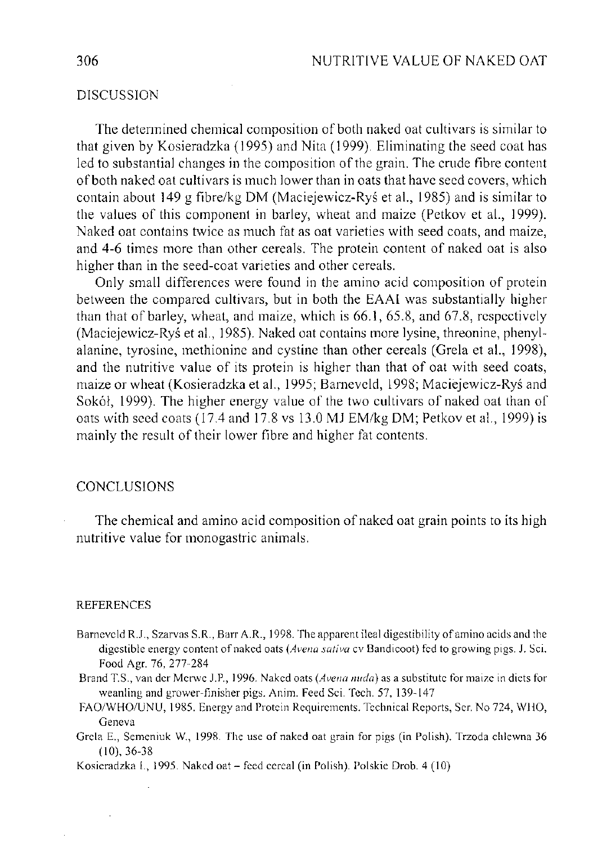# DISCUSSION

The determined chemical composition of both naked oat cultivars is similar to that given by Kosieradzka (1995) and Nita (1999). Eliminating the seed coat has led to substantial changes in the composition of the grain. The crude fibre content of both naked oat cultivars is much lower than in oats that have seed covers, which contain about  $149$  g fibre/kg DM (Maciejewicz-Rys et al., 1985) and is similar to the values of this component in barley, wheat and maize (Petkov et al., 1999). Naked oat contains twice as much fat as oat varieties with seed coats, and maize, and 4-6 times more than other cereals. The protein content of naked oat is also higher than in the seed-coat varieties and other cereals.

Only small differences were found in the amino acid composition of protein between the compared cultivars, but in both the EAAI was substantially higher than that of barley, wheat, and maize, which is 66.1, 65.8, and 67.8, respectively (Maciejewicz-Rys et al., 1985). Naked oat contains more lysine, threonine, phenylalanine, tyrosine, methionine and cystine than other cereals (Grela et al., 1998), and the nutritive value of its protein is higher than that of oat with seed coats, maize or wheat (Kosieradzka et al., 1995; Barneveld, 1998; Maciejewicz-Rys and Sokół, 1999). The higher energy value of the two cultivars of naked oat than of oats with seed coats (17.4 and 17.8 vs 13.0 MJ EM/kg DM; Petkov et al., 1999) is mainly the result of their lower fibre and higher fat contents.

#### CONCLUSIONS

The chemical and amino acid composition of naked oat grain points to its high nutritive value for monogastric animals.

#### REFERENCES

- Barneveld R.J., Szarvas S.R., Barr A.R., 1998. The apparent ileal digestibility of amino acids and the digestible energy content of naked oats *(Avena sativa* cv Bandicoot) fed to growing pigs. J. Sci. Food Agr. 76, 277-284
- Brand T.S., van der Merwe J.R, 1996. Naked oats *(Avena nuda)* as a substitute for maize in diets for weanling and grower-finisher pigs. Anim. Feed Sci. Tech. 57, 139-147
- FAO/WHO/UNU, 1985. Energy and Protein Requirements. Technical Reports, Ser. No 724, WHO, Geneva
- Grela E., Semeniuk W., 1998. The use of naked oat grain for pigs (in Polish). Trzoda chlewna 36 (10), 36-38

Kosieradzka I. , 1995. Naked oat - feed cereal (in Polish). Polskie Drob. 4 (10)